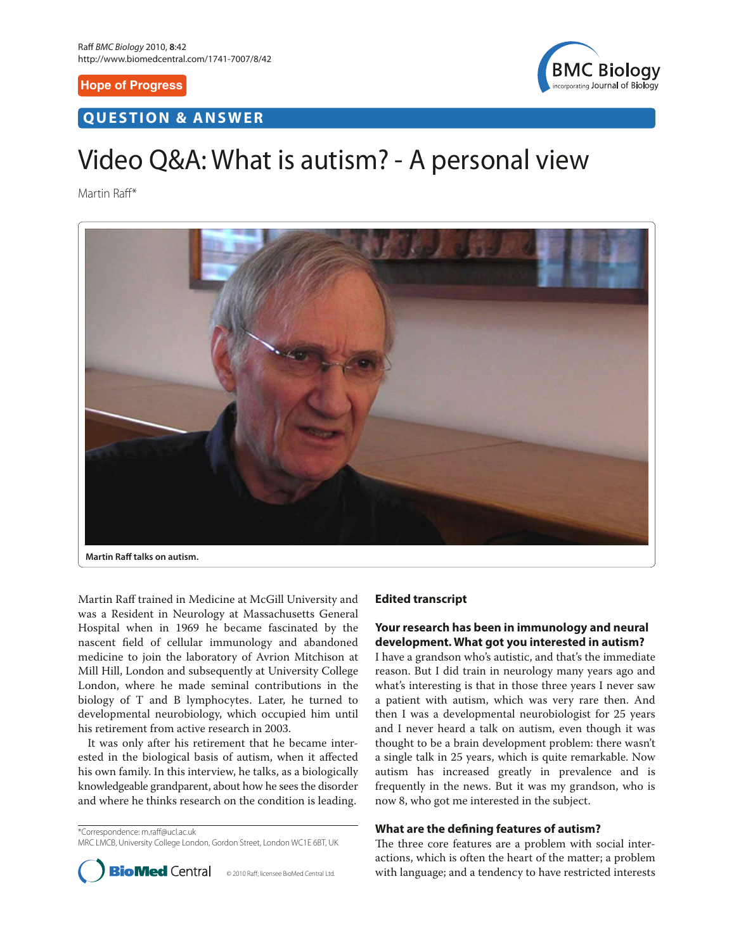**Hope of Progress**

## **QUESTION & ANSWER**



# Video Q&A: What is autism? - A personal view

Martin Raff\*



Martin Raff trained in Medicine at McGill University and was a Resident in Neurology at Massachusetts General Hospital when in 1969 he became fascinated by the nascent field of cellular immunology and abandoned medicine to join the laboratory of Avrion Mitchison at Mill Hill, London and subsequently at University College London, where he made seminal contributions in the biology of T and B lymphocytes. Later, he turned to developmental neurobiology, which occupied him until his retirement from active research in 2003.

It was only after his retirement that he became interested in the biological basis of autism, when it affected his own family. In this interview, he talks, as a biologically knowledgeable grandparent, about how he sees the disorder and where he thinks research on the condition is leading.

\*Correspondence: m.raff@ucl.ac.uk MRC LMCB, University College London, Gordon Street, London WC1E 6BT, UK



© 2010 Raff; licensee BioMed Central Ltd.

### **Edited transcript**

#### **Your research has been in immunology and neural development. What got you interested in autism?**

I have a grandson who's autistic, and that's the immediate reason. But I did train in neurology many years ago and what's interesting is that in those three years I never saw a patient with autism, which was very rare then. And then I was a developmental neurobiologist for 25 years and I never heard a talk on autism, even though it was thought to be a brain development problem: there wasn't a single talk in 25 years, which is quite remarkable. Now autism has increased greatly in prevalence and is frequently in the news. But it was my grandson, who is now 8, who got me interested in the subject.

#### **What are the defining features of autism?**

The three core features are a problem with social interactions, which is often the heart of the matter; a problem **BioMed** Central  $\circ$  2010 Raff; licensee BioMed Central Ltd. With language; and a tendency to have restricted interests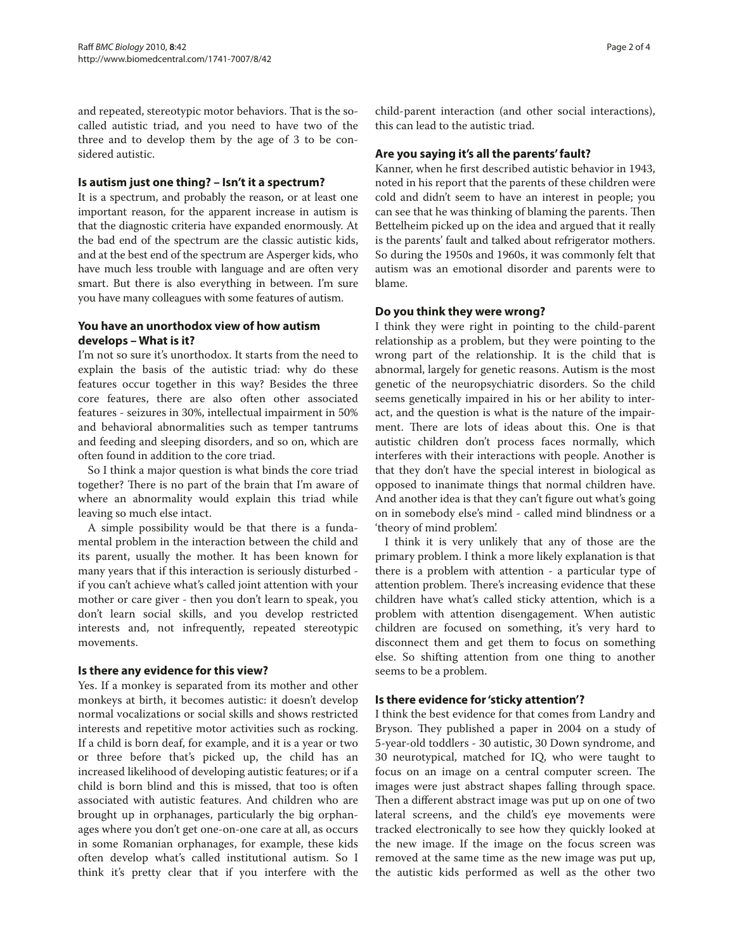and repeated, stereotypic motor behaviors. That is the socalled autistic triad, and you need to have two of the three and to develop them by the age of 3 to be considered autistic.

#### **Is autism just one thing? – Isn't it a spectrum?**

It is a spectrum, and probably the reason, or at least one important reason, for the apparent increase in autism is that the diagnostic criteria have expanded enormously. At the bad end of the spectrum are the classic autistic kids, and at the best end of the spectrum are Asperger kids, who have much less trouble with language and are often very smart. But there is also everything in between. I'm sure you have many colleagues with some features of autism.

#### **You have an unorthodox view of how autism develops – What is it?**

I'm not so sure it's unorthodox. It starts from the need to explain the basis of the autistic triad: why do these features occur together in this way? Besides the three core features, there are also often other associated features - seizures in 30%, intellectual impairment in 50% and behavioral abnormalities such as temper tantrums and feeding and sleeping disorders, and so on, which are often found in addition to the core triad.

So I think a major question is what binds the core triad together? There is no part of the brain that I'm aware of where an abnormality would explain this triad while leaving so much else intact.

A simple possibility would be that there is a fundamental problem in the interaction between the child and its parent, usually the mother. It has been known for many years that if this interaction is seriously disturbed if you can't achieve what's called joint attention with your mother or care giver - then you don't learn to speak, you don't learn social skills, and you develop restricted interests and, not infrequently, repeated stereotypic movements.

#### **Is there any evidence for this view?**

Yes. If a monkey is separated from its mother and other monkeys at birth, it becomes autistic: it doesn't develop normal vocalizations or social skills and shows restricted interests and repetitive motor activities such as rocking. If a child is born deaf, for example, and it is a year or two or three before that's picked up, the child has an increased likelihood of developing autistic features; or if a child is born blind and this is missed, that too is often associated with autistic features. And children who are brought up in orphanages, particularly the big orphanages where you don't get one-on-one care at all, as occurs in some Romanian orphanages, for example, these kids often develop what's called institutional autism. So I think it's pretty clear that if you interfere with the child-parent interaction (and other social interactions), this can lead to the autistic triad.

#### **Are you saying it's all the parents' fault?**

Kanner, when he first described autistic behavior in 1943, noted in his report that the parents of these children were cold and didn't seem to have an interest in people; you can see that he was thinking of blaming the parents. Then Bettelheim picked up on the idea and argued that it really is the parents' fault and talked about refrigerator mothers. So during the 1950s and 1960s, it was commonly felt that autism was an emotional disorder and parents were to blame.

#### **Do you think they were wrong?**

I think they were right in pointing to the child-parent relationship as a problem, but they were pointing to the wrong part of the relationship. It is the child that is abnormal, largely for genetic reasons. Autism is the most genetic of the neuropsychiatric disorders. So the child seems genetically impaired in his or her ability to interact, and the question is what is the nature of the impairment. There are lots of ideas about this. One is that autistic children don't process faces normally, which interferes with their interactions with people. Another is that they don't have the special interest in biological as opposed to inanimate things that normal children have. And another idea is that they can't figure out what's going on in somebody else's mind - called mind blindness or a 'theory of mind problem'.

I think it is very unlikely that any of those are the primary problem. I think a more likely explanation is that there is a problem with attention - a particular type of attention problem. There's increasing evidence that these children have what's called sticky attention, which is a problem with attention disengagement. When autistic children are focused on something, it's very hard to disconnect them and get them to focus on something else. So shifting attention from one thing to another seems to be a problem.

#### **Is there evidence for 'sticky attention'?**

I think the best evidence for that comes from Landry and Bryson. They published a paper in 2004 on a study of 5-year-old toddlers - 30 autistic, 30 Down syndrome, and 30 neurotypical, matched for IQ, who were taught to focus on an image on a central computer screen. The images were just abstract shapes falling through space. Then a different abstract image was put up on one of two lateral screens, and the child's eye movements were tracked electronically to see how they quickly looked at the new image. If the image on the focus screen was removed at the same time as the new image was put up, the autistic kids performed as well as the other two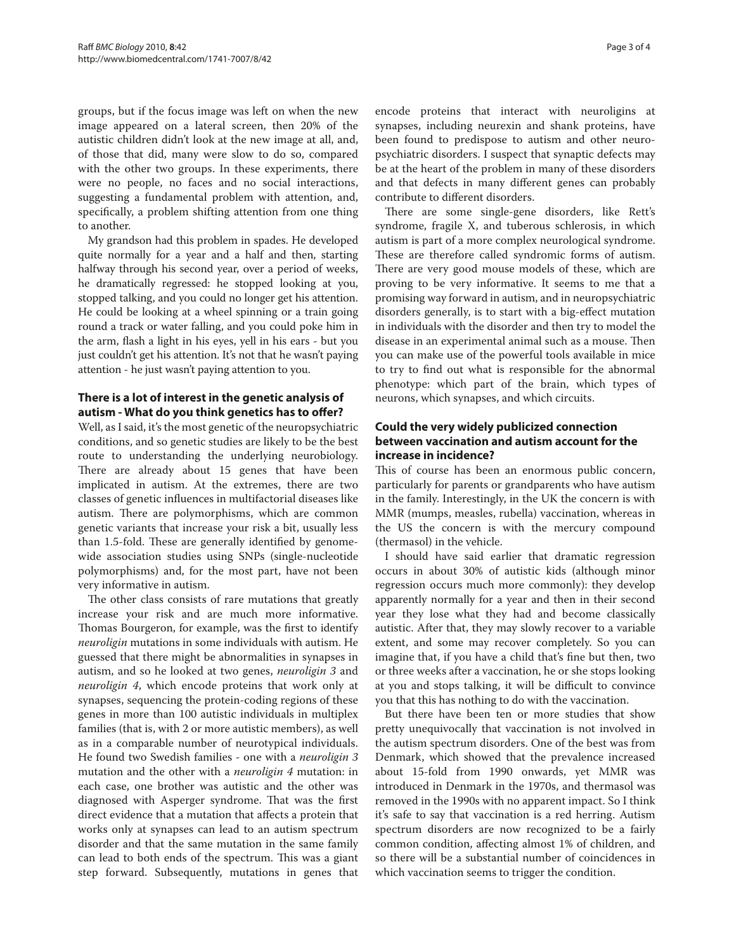groups, but if the focus image was left on when the new image appeared on a lateral screen, then 20% of the autistic children didn't look at the new image at all, and, of those that did, many were slow to do so, compared with the other two groups. In these experiments, there were no people, no faces and no social interactions, suggesting a fundamental problem with attention, and, specifically, a problem shifting attention from one thing to another.

My grandson had this problem in spades. He developed quite normally for a year and a half and then, starting halfway through his second year, over a period of weeks, he dramatically regressed: he stopped looking at you, stopped talking, and you could no longer get his attention. He could be looking at a wheel spinning or a train going round a track or water falling, and you could poke him in the arm, flash a light in his eyes, yell in his ears - but you just couldn't get his attention. It's not that he wasn't paying attention - he just wasn't paying attention to you.

#### **There is a lot of interest in the genetic analysis of autism - What do you think genetics has to offer?**

Well, as I said, it's the most genetic of the neuropsychiatric conditions, and so genetic studies are likely to be the best route to understanding the underlying neurobiology. There are already about 15 genes that have been implicated in autism. At the extremes, there are two classes of genetic influences in multifactorial diseases like autism. There are polymorphisms, which are common genetic variants that increase your risk a bit, usually less than 1.5-fold. These are generally identified by genomewide association studies using SNPs (single-nucleotide polymorphisms) and, for the most part, have not been very informative in autism.

The other class consists of rare mutations that greatly increase your risk and are much more informative. Thomas Bourgeron, for example, was the first to identify *neuroligin* mutations in some individuals with autism. He guessed that there might be abnormalities in synapses in autism, and so he looked at two genes, *neuroligin 3* and *neuroligin 4*, which encode proteins that work only at synapses, sequencing the protein-coding regions of these genes in more than 100 autistic individuals in multiplex families (that is, with 2 or more autistic members), as well as in a comparable number of neurotypical individuals. He found two Swedish families - one with a *neuroligin 3* mutation and the other with a *neuroligin 4* mutation: in each case, one brother was autistic and the other was diagnosed with Asperger syndrome. That was the first direct evidence that a mutation that affects a protein that works only at synapses can lead to an autism spectrum disorder and that the same mutation in the same family can lead to both ends of the spectrum. This was a giant step forward. Subsequently, mutations in genes that encode proteins that interact with neuroligins at synapses, including neurexin and shank proteins, have been found to predispose to autism and other neuropsychiatric disorders. I suspect that synaptic defects may be at the heart of the problem in many of these disorders and that defects in many different genes can probably contribute to different disorders.

There are some single-gene disorders, like Rett's syndrome, fragile X, and tuberous schlerosis, in which autism is part of a more complex neurological syndrome. These are therefore called syndromic forms of autism. There are very good mouse models of these, which are proving to be very informative. It seems to me that a promising way forward in autism, and in neuropsychiatric disorders generally, is to start with a big-effect mutation in individuals with the disorder and then try to model the disease in an experimental animal such as a mouse. Then you can make use of the powerful tools available in mice to try to find out what is responsible for the abnormal phenotype: which part of the brain, which types of neurons, which synapses, and which circuits.

#### **Could the very widely publicized connection between vaccination and autism account for the increase in incidence?**

This of course has been an enormous public concern, particularly for parents or grandparents who have autism in the family. Interestingly, in the UK the concern is with MMR (mumps, measles, rubella) vaccination, whereas in the US the concern is with the mercury compound (thermasol) in the vehicle.

I should have said earlier that dramatic regression occurs in about 30% of autistic kids (although minor regression occurs much more commonly): they develop apparently normally for a year and then in their second year they lose what they had and become classically autistic. After that, they may slowly recover to a variable extent, and some may recover completely. So you can imagine that, if you have a child that's fine but then, two or three weeks after a vaccination, he or she stops looking at you and stops talking, it will be difficult to convince you that this has nothing to do with the vaccination.

But there have been ten or more studies that show pretty unequivocally that vaccination is not involved in the autism spectrum disorders. One of the best was from Denmark, which showed that the prevalence increased about 15-fold from 1990 onwards, yet MMR was introduced in Denmark in the 1970s, and thermasol was removed in the 1990s with no apparent impact. So I think it's safe to say that vaccination is a red herring. Autism spectrum disorders are now recognized to be a fairly common condition, affecting almost 1% of children, and so there will be a substantial number of coincidences in which vaccination seems to trigger the condition.